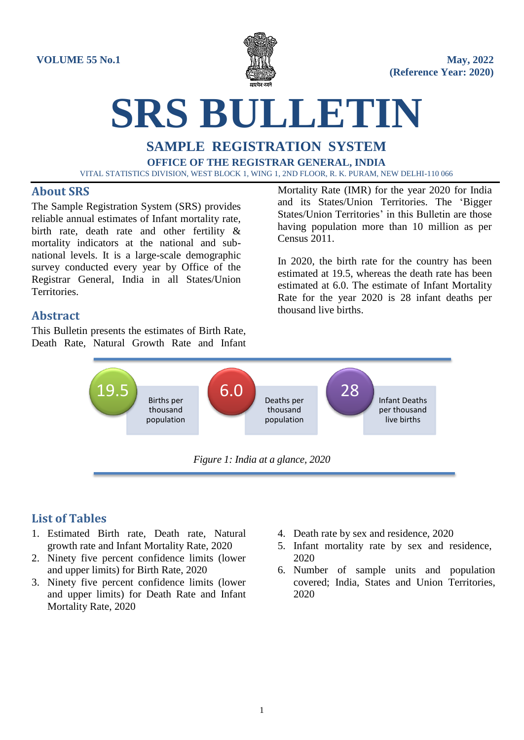

# **SRS BULLETIN**

## **SAMPLE REGISTRATION SYSTEM OFFICE OF THE REGISTRAR GENERAL, INDIA** VITAL STATISTICS DIVISION, WEST BLOCK 1, WING 1, 2ND FLOOR, R. K. PURAM, NEW DELHI-110 066

## **About SRS**

The Sample Registration System (SRS) provides reliable annual estimates of Infant mortality rate, birth rate, death rate and other fertility & mortality indicators at the national and subnational levels. It is a large-scale demographic survey conducted every year by Office of the Registrar General, India in all States/Union Territories.

Mortality Rate (IMR) for the year 2020 for India and its States/Union Territories. The 'Bigger States/Union Territories' in this Bulletin are those having population more than 10 million as per Census 2011.

In 2020, the birth rate for the country has been estimated at 19.5, whereas the death rate has been estimated at 6.0. The estimate of Infant Mortality Rate for the year 2020 is 28 infant deaths per thousand live births.

# **Abstract**

This Bulletin presents the estimates of Birth Rate, Death Rate, Natural Growth Rate and Infant



*Figure 1: India at a glance, 2020*

# **List of Tables**

- 1. Estimated Birth rate, Death rate, Natural growth rate and Infant Mortality Rate, 2020
- 2. Ninety five percent confidence limits (lower and upper limits) for Birth Rate, 2020
- 3. Ninety five percent confidence limits (lower and upper limits) for Death Rate and Infant Mortality Rate, 2020
- 4. Death rate by sex and residence, 2020
- 5. Infant mortality rate by sex and residence, 2020
- 6. Number of sample units and population covered; India, States and Union Territories, 2020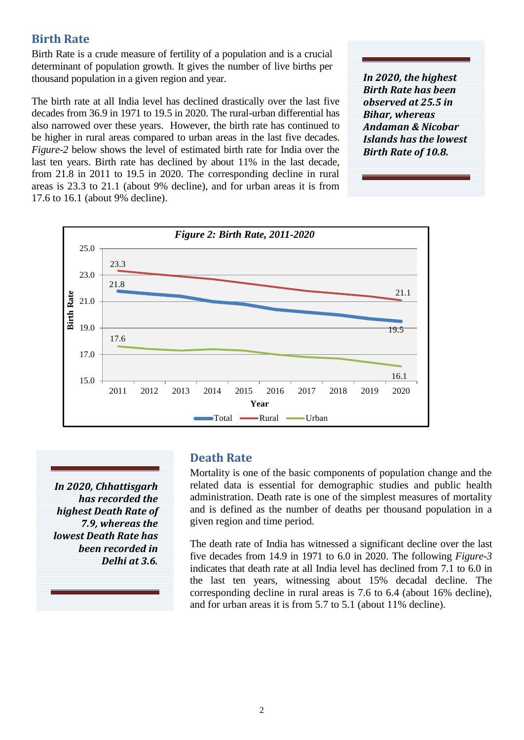## **Birth Rate**

Birth Rate is a crude measure of fertility of a population and is a crucial determinant of population growth. It gives the number of live births per thousand population in a given region and year.

The birth rate at all India level has declined drastically over the last five decades from 36.9 in 1971 to 19.5 in 2020. The rural-urban differential has also narrowed over these years. However, the birth rate has continued to be higher in rural areas compared to urban areas in the last five decades. *Figure-2* below shows the level of estimated birth rate for India over the last ten years. Birth rate has declined by about 11% in the last decade, from 21.8 in 2011 to 19.5 in 2020. The corresponding decline in rural areas is 23.3 to 21.1 (about 9% decline), and for urban areas it is from 17.6 to 16.1 (about 9% decline).

*In 2020, the highest Birth Rate has been observed at 25.5 in Bihar, whereas Andaman & Nicobar Islands has the lowest Birth Rate of 10.8.*



*In 2020, Chhattisgarh has recorded the highest Death Rate of 7.9, whereas the lowest Death Rate has been recorded in Delhi at 3.6.* 

## **Death Rate**

Mortality is one of the basic components of population change and the related data is essential for demographic studies and public health administration. Death rate is one of the simplest measures of mortality and is defined as the number of deaths per thousand population in a given region and time period.

The death rate of India has witnessed a significant decline over the last five decades from 14.9 in 1971 to 6.0 in 2020. The following *Figure-3* indicates that death rate at all India level has declined from 7.1 to 6.0 in the last ten years, witnessing about 15% decadal decline. The corresponding decline in rural areas is 7.6 to 6.4 (about 16% decline), and for urban areas it is from 5.7 to 5.1 (about 11% decline).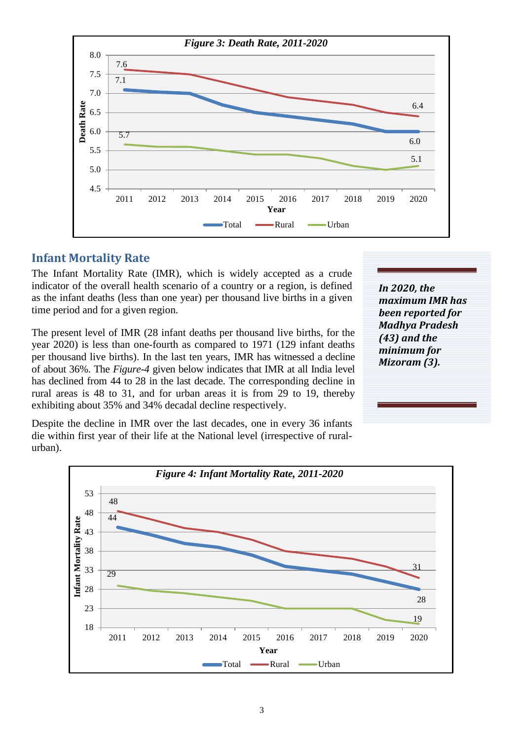

## **Infant Mortality Rate**

The Infant Mortality Rate (IMR), which is widely accepted as a crude indicator of the overall health scenario of a country or a region, is defined as the infant deaths (less than one year) per thousand live births in a given time period and for a given region.

The present level of IMR (28 infant deaths per thousand live births, for the year 2020) is less than one-fourth as compared to 1971 (129 infant deaths per thousand live births). In the last ten years, IMR has witnessed a decline of about 36%. The *Figure-4* given below indicates that IMR at all India level has declined from 44 to 28 in the last decade. The corresponding decline in rural areas is 48 to 31, and for urban areas it is from 29 to 19, thereby exhibiting about 35% and 34% decadal decline respectively.

Despite the decline in IMR over the last decades, one in every 36 infants die within first year of their life at the National level (irrespective of ruralurban).

*In 2020, the maximum IMR has been reported for Madhya Pradesh (43) and the minimum for Mizoram (3).* 

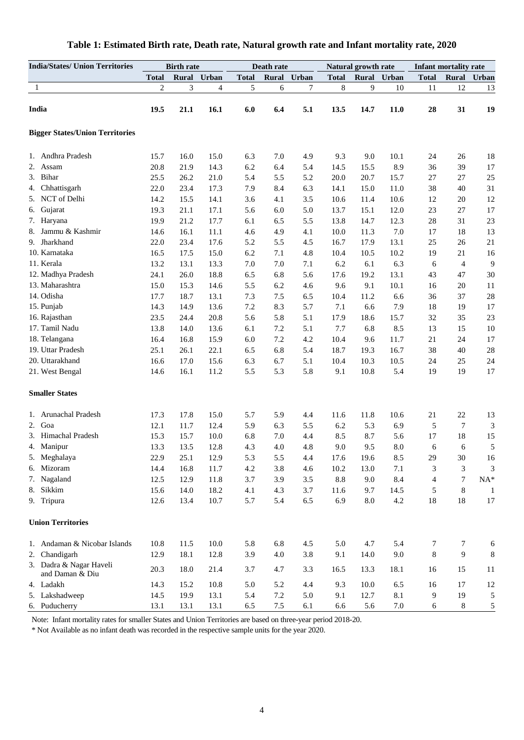| <b>India/States/ Union Territories</b>     |                | <b>Birth rate</b> |             | Death rate   |         |       | Natural growth rate |              |       | <b>Infant mortality rate</b> |                |                             |
|--------------------------------------------|----------------|-------------------|-------------|--------------|---------|-------|---------------------|--------------|-------|------------------------------|----------------|-----------------------------|
|                                            | <b>Total</b>   |                   | Rural Urban | <b>Total</b> | Rural   | Urban | <b>Total</b>        | <b>Rural</b> | Urban | <b>Total</b>                 | <b>Rural</b>   | Urban                       |
| 1                                          | $\overline{c}$ | 3                 | 4           | 5            | 6       | 7     | 8                   | 9            | 10    | 11                           | 12             | 13                          |
|                                            |                |                   |             |              |         |       |                     |              |       |                              |                |                             |
| India                                      | 19.5           | 21.1              | 16.1        | 6.0          | 6.4     | 5.1   | 13.5                | 14.7         | 11.0  | 28                           | 31             | 19                          |
| <b>Bigger States/Union Territories</b>     |                |                   |             |              |         |       |                     |              |       |                              |                |                             |
| 1. Andhra Pradesh                          | 15.7           | 16.0              | 15.0        | 6.3          | 7.0     | 4.9   | 9.3                 | 9.0          | 10.1  | 24                           | 26             | 18                          |
| 2.<br>Assam                                | 20.8           | 21.9              | 14.3        | 6.2          | 6.4     | 5.4   | 14.5                | 15.5         | 8.9   | 36                           | 39             | 17                          |
| 3. Bihar                                   | 25.5           | 26.2              | 21.0        | 5.4          | 5.5     | 5.2   | 20.0                | 20.7         | 15.7  | 27                           | 27             | 25                          |
| 4. Chhattisgarh                            | 22.0           | 23.4              | 17.3        | 7.9          | 8.4     | 6.3   | 14.1                | 15.0         | 11.0  | 38                           | 40             | 31                          |
| 5. NCT of Delhi                            | 14.2           | 15.5              | 14.1        | 3.6          | 4.1     | 3.5   | 10.6                | 11.4         | 10.6  | 12                           | 20             | 12                          |
| Gujarat<br>6.                              | 19.3           | 21.1              | 17.1        | 5.6          | 6.0     | 5.0   | 13.7                | 15.1         | 12.0  | 23                           | 27             | 17                          |
| 7. Haryana                                 | 19.9           | 21.2              | 17.7        | 6.1          | 6.5     | 5.5   | 13.8                | 14.7         | 12.3  | 28                           | 31             | 23                          |
| 8. Jammu & Kashmir                         | 14.6           | 16.1              | 11.1        | 4.6          | 4.9     | 4.1   | 10.0                | 11.3         | 7.0   | 17                           | 18             | 13                          |
| 9. Jharkhand                               | 22.0           | 23.4              | 17.6        | 5.2          | 5.5     | 4.5   | 16.7                | 17.9         | 13.1  | 25                           | 26             | 21                          |
| 10. Karnataka                              | 16.5           | 17.5              | 15.0        | 6.2          | 7.1     | 4.8   | 10.4                | 10.5         | 10.2  | 19                           | 21             | 16                          |
| 11. Kerala                                 | 13.2           | 13.1              | 13.3        | 7.0          | 7.0     | 7.1   | 6.2                 | 6.1          | 6.3   | 6                            | $\overline{4}$ | 9                           |
| 12. Madhya Pradesh                         | 24.1           | 26.0              | 18.8        | 6.5          | 6.8     | 5.6   | 17.6                | 19.2         | 13.1  | 43                           | 47             | 30                          |
| 13. Maharashtra                            | 15.0           | 15.3              | 14.6        | 5.5          | 6.2     | 4.6   | 9.6                 | 9.1          | 10.1  | 16                           | 20             | 11                          |
| 14. Odisha                                 | 17.7           | 18.7              | 13.1        | 7.3          | 7.5     | 6.5   | 10.4                | 11.2         | 6.6   | 36                           | 37             | 28                          |
| 15. Punjab                                 | 14.3           | 14.9              | 13.6        | 7.2          | 8.3     | 5.7   | 7.1                 | 6.6          | 7.9   | 18                           | 19             | 17                          |
| 16. Rajasthan                              | 23.5           | 24.4              | 20.8        | 5.6          | 5.8     | 5.1   | 17.9                | 18.6         | 15.7  | 32                           | 35             | 23                          |
| 17. Tamil Nadu                             | 13.8           | 14.0              | 13.6        | 6.1          | 7.2     | 5.1   | 7.7                 | 6.8          | 8.5   | 13                           | 15             | 10                          |
| 18. Telangana                              | 16.4           | 16.8              | 15.9        | 6.0          | 7.2     | 4.2   | 10.4                | 9.6          | 11.7  | 21                           | 24             | 17                          |
| 19. Uttar Pradesh                          | 25.1           | 26.1              | 22.1        | 6.5          | 6.8     | 5.4   | 18.7                | 19.3         | 16.7  | 38                           | 40             | $28\,$                      |
| 20. Uttarakhand                            | 16.6           | 17.0              | 15.6        | 6.3          | 6.7     | 5.1   | 10.4                | 10.3         | 10.5  | 24                           | 25             | 24                          |
| 21. West Bengal                            | 14.6           | 16.1              | 11.2        | 5.5          | 5.3     | 5.8   | 9.1                 | 10.8         | 5.4   | 19                           | 19             | 17                          |
| <b>Smaller States</b>                      |                |                   |             |              |         |       |                     |              |       |                              |                |                             |
| 1. Arunachal Pradesh                       | 17.3           | 17.8              | 15.0        | 5.7          | 5.9     | 4.4   | 11.6                | 11.8         | 10.6  | 21                           | 22             | 13                          |
| 2. Goa                                     | 12.1           | 11.7              | 12.4        | 5.9          | 6.3     | 5.5   | 6.2                 | 5.3          | 6.9   | 5                            | 7              | $\ensuremath{\mathfrak{Z}}$ |
| 3. Himachal Pradesh                        | 15.3           | 15.7              | 10.0        | 6.8          | 7.0     | 4.4   | 8.5                 | 8.7          | 5.6   | 17                           | 18             | 15                          |
| 4. Manipur                                 | 13.3           | 13.5              | 12.8        | 4.3          | 4.0     | 4.8   | 9.0                 | 9.5          | 8.0   | 6                            | 6              | 5                           |
| 5. Meghalaya                               | 22.9           | 25.1              | 12.9        | 5.3          | 5.5     | 4.4   | 17.6                | 19.6         | 8.5   | 29                           | 30             | 16                          |
| 6. Mizoram                                 | 14.4           | 16.8              | 11.7        | 4.2          | 3.8     | 4.6   | 10.2                | 13.0         | 7.1   | 3                            | 3              | 3                           |
| 7. Nagaland                                | 12.5           | 12.9              | 11.8        | 3.7          | 3.9     | 3.5   | 8.8                 | 9.0          | 8.4   | 4                            | 7              | $\mathrm{NA}^*$             |
| 8. Sikkim                                  | 15.6           | 14.0              | 18.2        | 4.1          | 4.3     | 3.7   | 11.6                | 9.7          | 14.5  | 5                            | 8              | 1                           |
| 9. Tripura                                 | 12.6           | 13.4              | 10.7        | 5.7          | 5.4     | 6.5   | 6.9                 | $\ \, 8.0$   | 4.2   | 18                           | 18             | $17\,$                      |
| <b>Union Territories</b>                   |                |                   |             |              |         |       |                     |              |       |                              |                |                             |
| 1. Andaman & Nicobar Islands               | 10.8           | 11.5              | 10.0        | 5.8          | 6.8     | 4.5   | 5.0                 | 4.7          | 5.4   | 7                            | 7              | 6                           |
| 2. Chandigarh                              | 12.9           | 18.1              | 12.8        | 3.9          | 4.0     | 3.8   | 9.1                 | 14.0         | 9.0   | 8                            | 9              | 8                           |
| 3. Dadra & Nagar Haveli<br>and Daman & Diu | 20.3           | 18.0              | 21.4        | 3.7          | 4.7     | 3.3   | 16.5                | 13.3         | 18.1  | 16                           | 15             | 11                          |
| 4. Ladakh                                  | 14.3           | 15.2              | 10.8        | 5.0          | 5.2     | 4.4   | 9.3                 | 10.0         | 6.5   | 16                           | 17             | 12                          |
| 5. Lakshadweep                             | 14.5           | 19.9              | 13.1        | 5.4          | 7.2     | 5.0   | 9.1                 | 12.7         | 8.1   | 9                            | 19             | 5                           |
| 6. Puducherry                              | 13.1           | 13.1              | 13.1        | 6.5          | $7.5\,$ | 6.1   | 6.6                 | 5.6          | 7.0   | 6                            | 8              | $\mathfrak{S}$              |

### **Table 1: Estimated Birth rate, Death rate, Natural growth rate and Infant mortality rate, 2020**

Note: Infant mortality rates for smaller States and Union Territories are based on three-year period 2018-20.

\* Not Available as no infant death was recorded in the respective sample units for the year 2020.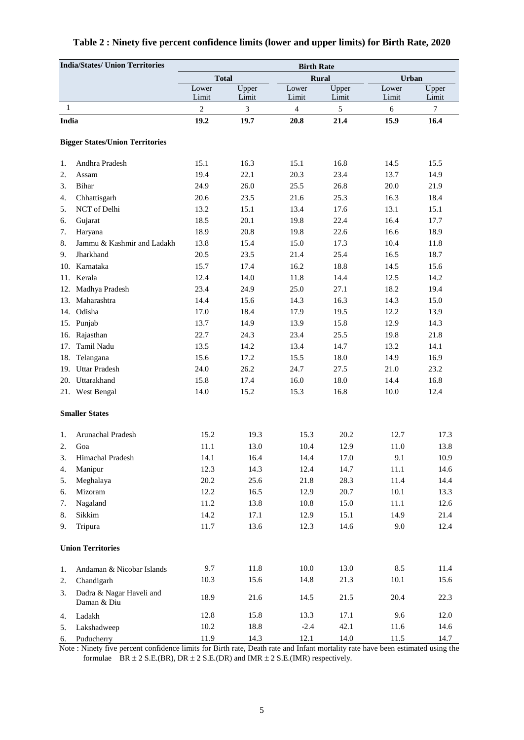| <b>India/States/ Union Territories</b> |                                         | <b>Birth Rate</b>     |                |                |                |                |                |  |  |  |
|----------------------------------------|-----------------------------------------|-----------------------|----------------|----------------|----------------|----------------|----------------|--|--|--|
|                                        |                                         | <b>Total</b><br>Rural |                |                |                | Urban          |                |  |  |  |
|                                        |                                         | Lower<br>Limit        | Upper<br>Limit | Lower<br>Limit | Upper<br>Limit | Lower<br>Limit | Upper<br>Limit |  |  |  |
| 1                                      |                                         | $\mathbf{2}$          | 3              | $\overline{4}$ | 5              | 6              | 7              |  |  |  |
| India                                  |                                         | 19.2                  | 19.7           | 20.8           | 21.4           | 15.9           | 16.4           |  |  |  |
|                                        | <b>Bigger States/Union Territories</b>  |                       |                |                |                |                |                |  |  |  |
| 1.                                     | Andhra Pradesh                          | 15.1                  | 16.3           | 15.1           | 16.8           | 14.5           | 15.5           |  |  |  |
| 2.                                     | Assam                                   | 19.4                  | 22.1           | 20.3           | 23.4           | 13.7           | 14.9           |  |  |  |
| 3.                                     | Bihar                                   | 24.9                  | 26.0           | 25.5           | 26.8           | 20.0           | 21.9           |  |  |  |
| 4.                                     | Chhattisgarh                            | 20.6                  | 23.5           | 21.6           | 25.3           | 16.3           | 18.4           |  |  |  |
| 5.                                     | NCT of Delhi                            | 13.2                  | 15.1           | 13.4           | 17.6           | 13.1           | 15.1           |  |  |  |
| 6.                                     | Gujarat                                 | 18.5                  | 20.1           | 19.8           | 22.4           | 16.4           | 17.7           |  |  |  |
| 7.                                     | Haryana                                 | 18.9                  | 20.8           | 19.8           | 22.6           | 16.6           | 18.9           |  |  |  |
| 8.                                     | Jammu & Kashmir and Ladakh              | 13.8                  | 15.4           | 15.0           | 17.3           | 10.4           | 11.8           |  |  |  |
| 9.                                     | Jharkhand                               | 20.5                  | 23.5           | 21.4           | 25.4           | 16.5           | 18.7           |  |  |  |
|                                        | 10. Karnataka                           | 15.7                  | 17.4           | 16.2           | 18.8           | 14.5           | 15.6           |  |  |  |
| 11.                                    | Kerala                                  | 12.4                  | 14.0           | 11.8           | 14.4           | 12.5           | 14.2           |  |  |  |
| 12.                                    | Madhya Pradesh                          | 23.4                  | 24.9           | 25.0           | 27.1           | 18.2           | 19.4           |  |  |  |
| 13.                                    | Maharashtra                             | 14.4                  | 15.6           | 14.3           | 16.3           | 14.3           | 15.0           |  |  |  |
| 14.                                    | Odisha                                  | 17.0                  | 18.4           | 17.9           | 19.5           | 12.2           | 13.9           |  |  |  |
| 15.                                    | Punjab                                  | 13.7                  | 14.9           | 13.9           | 15.8           | 12.9           | 14.3           |  |  |  |
| 16.                                    | Rajasthan                               | 22.7                  | 24.3           | 23.4           | 25.5           | 19.8           | 21.8           |  |  |  |
| 17.                                    | Tamil Nadu                              | 13.5                  | 14.2           | 13.4           | 14.7           | 13.2           | 14.1           |  |  |  |
| 18.                                    | Telangana                               | 15.6                  | 17.2           | 15.5           | 18.0           | 14.9           | 16.9           |  |  |  |
| 19.                                    | <b>Uttar Pradesh</b>                    | 24.0                  | 26.2           | 24.7           | 27.5           | 21.0           | 23.2           |  |  |  |
|                                        | 20. Uttarakhand                         | 15.8                  | 17.4           | 16.0           | 18.0           | 14.4           | 16.8           |  |  |  |
|                                        | 21. West Bengal                         | 14.0                  | 15.2           | 15.3           | 16.8           | 10.0           | 12.4           |  |  |  |
|                                        | <b>Smaller States</b>                   |                       |                |                |                |                |                |  |  |  |
| 1.                                     | Arunachal Pradesh                       | 15.2                  | 19.3           | 15.3           | 20.2           | 12.7           | 17.3           |  |  |  |
| 2.                                     | Goa                                     | 11.1                  | 13.0           | 10.4           | 12.9           | 11.0           | 13.8           |  |  |  |
| 3.                                     | Himachal Pradesh                        | 14.1                  | 16.4           | 14.4           | 17.0           | 9.1            | 10.9           |  |  |  |
| 4.                                     | Manipur                                 | 12.3                  | 14.3           | 12.4           | 14.7           | $11.1\,$       | 14.6           |  |  |  |
| 5.                                     | Meghalaya                               | 20.2                  | 25.6           | 21.8           | 28.3           | 11.4           | 14.4           |  |  |  |
| 6.                                     | Mizoram                                 | 12.2                  | 16.5           | 12.9           | 20.7           | 10.1           | 13.3           |  |  |  |
| 7.                                     | Nagaland                                | 11.2                  | 13.8           | $10.8\,$       | 15.0           | 11.1           | 12.6           |  |  |  |
| 8.                                     | Sikkim                                  | 14.2                  | 17.1           | 12.9           | 15.1           | 14.9           | 21.4           |  |  |  |
| 9.                                     | Tripura                                 | 11.7                  | 13.6           | 12.3           | 14.6           | 9.0            | 12.4           |  |  |  |
|                                        | <b>Union Territories</b>                |                       |                |                |                |                |                |  |  |  |
| 1.                                     | Andaman & Nicobar Islands               | 9.7                   | 11.8           | 10.0           | 13.0           | 8.5            | 11.4           |  |  |  |
| 2.                                     | Chandigarh                              | 10.3                  | 15.6           | 14.8           | 21.3           | $10.1\,$       | 15.6           |  |  |  |
| 3.                                     | Dadra & Nagar Haveli and<br>Daman & Diu | 18.9                  | 21.6           | 14.5           | 21.5           | 20.4           | 22.3           |  |  |  |
| 4.                                     | Ladakh                                  | 12.8                  | 15.8           | 13.3           | 17.1           | 9.6            | 12.0           |  |  |  |
| 5.                                     | Lakshadweep                             | $10.2\,$              | 18.8           | $-2.4$         | 42.1           | 11.6           | 14.6           |  |  |  |
| 6.                                     | Puducherry                              | 11.9                  | 14.3           | 12.1           | 14.0           | 11.5           | 14.7           |  |  |  |

## **Table 2 : Ninety five percent confidence limits (lower and upper limits) for Birth Rate, 2020**

 Note : Ninety five percent confidence limits for Birth rate, Death rate and Infant mortality rate have been estimated using the formulae BR  $\pm 2$  S.E.(BR), DR  $\pm 2$  S.E.(DR) and IMR  $\pm 2$  S.E.(IMR) respectively.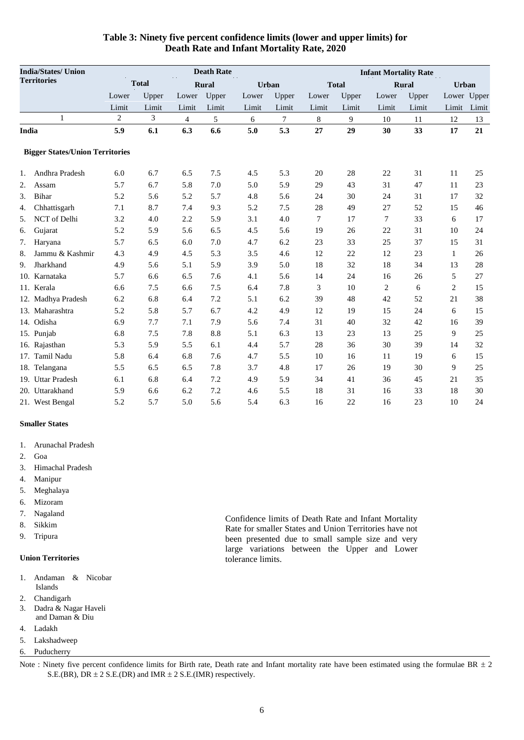| <b>India/States/ Union</b>             |              |       |       | <b>Death Rate</b> |       | <b>Infant Mortality Rate</b> |       |              |                |              |                |              |  |
|----------------------------------------|--------------|-------|-------|-------------------|-------|------------------------------|-------|--------------|----------------|--------------|----------------|--------------|--|
| <b>Territories</b>                     | <b>Total</b> |       |       | <b>Rural</b>      |       | <b>Urban</b>                 |       | <b>Total</b> |                | <b>Rural</b> |                | <b>Urban</b> |  |
|                                        | Lower        | Upper | Lower | Upper             | Lower | Upper                        | Lower | Upper        | Lower          | Upper        |                | Lower Upper  |  |
|                                        | Limit        | Limit | Limit | Limit             | Limit | Limit                        | Limit | Limit        | Limit          | Limit        | Limit          | Limit        |  |
| $\mathbf{1}$                           | 2            | 3     | 4     | 5                 | 6     | 7                            | 8     | 9            | 10             | 11           | 12             | 13           |  |
| India                                  | 5.9          | 6.1   | 6.3   | 6.6               | 5.0   | 5.3                          | 27    | 29           | 30             | 33           | 17             | 21           |  |
| <b>Bigger States/Union Territories</b> |              |       |       |                   |       |                              |       |              |                |              |                |              |  |
| Andhra Pradesh<br>1.                   | 6.0          | 6.7   | 6.5   | 7.5               | 4.5   | 5.3                          | 20    | 28           | 22             | 31           | 11             | 25           |  |
| 2.<br>Assam                            | 5.7          | 6.7   | 5.8   | 7.0               | 5.0   | 5.9                          | 29    | 43           | 31             | 47           | 11             | 23           |  |
| <b>Bihar</b><br>3.                     | 5.2          | 5.6   | 5.2   | 5.7               | 4.8   | 5.6                          | 24    | 30           | 24             | 31           | 17             | 32           |  |
| Chhattisgarh<br>4.                     | 7.1          | 8.7   | 7.4   | 9.3               | 5.2   | 7.5                          | 28    | 49           | 27             | 52           | 15             | 46           |  |
| NCT of Delhi<br>5.                     | 3.2          | 4.0   | 2.2   | 5.9               | 3.1   | 4.0                          | 7     | 17           | 7              | 33           | 6              | 17           |  |
| Gujarat<br>6.                          | 5.2          | 5.9   | 5.6   | 6.5               | 4.5   | 5.6                          | 19    | 26           | 22             | 31           | 10             | 24           |  |
| 7.<br>Haryana                          | 5.7          | 6.5   | 6.0   | 7.0               | 4.7   | 6.2                          | 23    | 33           | 25             | 37           | 15             | 31           |  |
| Jammu & Kashmir<br>8.                  | 4.3          | 4.9   | 4.5   | 5.3               | 3.5   | 4.6                          | 12    | 22           | 12             | 23           | $\mathbf{1}$   | 26           |  |
| Jharkhand<br>9.                        | 4.9          | 5.6   | 5.1   | 5.9               | 3.9   | 5.0                          | 18    | 32           | 18             | 34           | 13             | 28           |  |
| 10. Karnataka                          | 5.7          | 6.6   | 6.5   | 7.6               | 4.1   | 5.6                          | 14    | 24           | 16             | 26           | 5              | 27           |  |
| 11. Kerala                             | 6.6          | 7.5   | 6.6   | 7.5               | 6.4   | 7.8                          | 3     | 10           | $\overline{c}$ | 6            | $\overline{c}$ | 15           |  |
| 12. Madhya Pradesh                     | 6.2          | 6.8   | 6.4   | 7.2               | 5.1   | 6.2                          | 39    | 48           | 42             | 52           | 21             | 38           |  |
| 13. Maharashtra                        | 5.2          | 5.8   | 5.7   | 6.7               | 4.2   | 4.9                          | 12    | 19           | 15             | 24           | 6              | 15           |  |
| 14. Odisha                             | 6.9          | 7.7   | 7.1   | 7.9               | 5.6   | 7.4                          | 31    | 40           | 32             | 42           | 16             | 39           |  |
| 15. Punjab                             | 6.8          | 7.5   | 7.8   | 8.8               | 5.1   | 6.3                          | 13    | 23           | 13             | 25           | 9              | 25           |  |
| 16. Rajasthan                          | 5.3          | 5.9   | 5.5   | 6.1               | 4.4   | 5.7                          | 28    | 36           | 30             | 39           | 14             | 32           |  |
| 17. Tamil Nadu                         | 5.8          | 6.4   | 6.8   | 7.6               | 4.7   | 5.5                          | 10    | 16           | 11             | 19           | 6              | 15           |  |
| 18. Telangana                          | 5.5          | 6.5   | 6.5   | 7.8               | 3.7   | 4.8                          | 17    | 26           | 19             | 30           | 9              | 25           |  |
| 19. Uttar Pradesh                      | 6.1          | 6.8   | 6.4   | 7.2               | 4.9   | 5.9                          | 34    | 41           | 36             | 45           | 21             | 35           |  |
| 20. Uttarakhand                        | 5.9          | 6.6   | 6.2   | 7.2               | 4.6   | 5.5                          | 18    | 31           | 16             | 33           | 18             | 30           |  |
| 21. West Bengal                        | 5.2          | 5.7   | 5.0   | 5.6               | 5.4   | 6.3                          | 16    | 22           | 16             | 23           | 10             | 24           |  |

#### **Table 3: Ninety five percent confidence limits (lower and upper limits) for Death Rate and Infant Mortality Rate, 2020**

#### **Smaller States**

- 1. Arunachal Pradesh
- 2. Goa
- 3. Himachal Pradesh
- 4. Manipur
- 5. Meghalaya
- 6. Mizoram
- 7. Nagaland
- 8. Sikkim
- 9. Tripura

#### **Union Territories**

- 1. Andaman & Nicobar Islands
- 2. Chandigarh
- 3. Dadra & Nagar Haveli
- and Daman & Diu
- 4. Ladakh
- 5. Lakshadweep
- 6. Puducherry

Confidence limits of Death Rate and Infant Mortality Rate for smaller States and Union Territories have not been presented due to small sample size and very large variations between the Upper and Lower tolerance limits.

Note : Ninety five percent confidence limits for Birth rate, Death rate and Infant mortality rate have been estimated using the formulae BR  $\pm 2$ S.E.(BR), DR  $\pm$  2 S.E.(DR) and IMR  $\pm$  2 S.E.(IMR) respectively.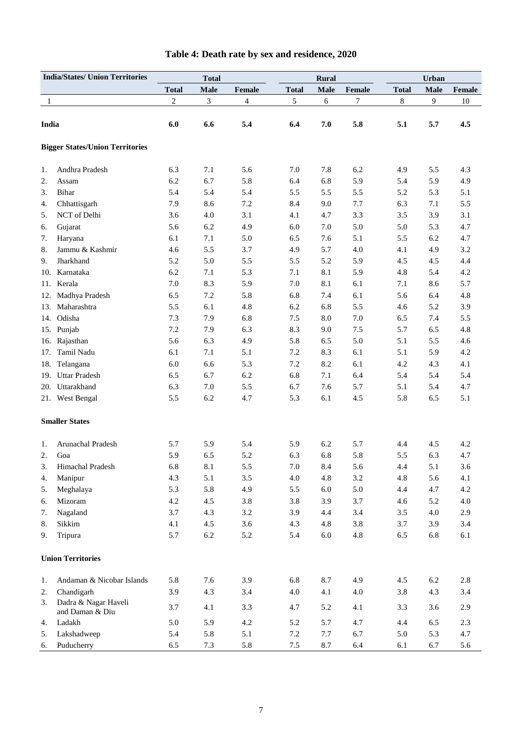| <b>India/States/ Union Territories</b> |                                         | <b>Total</b>   |             |                |              | <b>Rural</b> |         | Urban        |             |        |
|----------------------------------------|-----------------------------------------|----------------|-------------|----------------|--------------|--------------|---------|--------------|-------------|--------|
|                                        |                                         | <b>Total</b>   | <b>Male</b> | Female         | <b>Total</b> | <b>Male</b>  | Female  | <b>Total</b> | <b>Male</b> | Female |
| 1                                      |                                         | $\overline{c}$ | 3           | $\overline{4}$ | 5            | 6            | 7       | 8            | 9           | 10     |
|                                        |                                         |                |             |                |              |              |         |              |             |        |
| India                                  |                                         | 6.0            | 6.6         | 5.4            | 6.4          | 7.0          | 5.8     | 5.1          | 5.7         | 4.5    |
|                                        | <b>Bigger States/Union Territories</b>  |                |             |                |              |              |         |              |             |        |
| 1.                                     | Andhra Pradesh                          | 6.3            | 7.1         | 5.6            | 7.0          | 7.8          | 6.2     | 4.9          | 5.5         | 4.3    |
| 2.                                     | Assam                                   | 6.2            | 6.7         | 5.8            | 6.4          | 6.8          | 5.9     | 5.4          | 5.9         | 4.9    |
| 3.                                     | Bihar                                   | 5.4            | 5.4         | 5.4            | 5.5          | 5.5          | 5.5     | 5.2          | 5.3         | 5.1    |
| 4.                                     | Chhattisgarh                            | 7.9            | 8.6         | 7.2            | 8.4          | 9.0          | 7.7     | 6.3          | 7.1         | 5.5    |
| 5.                                     | NCT of Delhi                            | 3.6            | 4.0         | 3.1            | 4.1          | 4.7          | 3.3     | 3.5          | 3.9         | 3.1    |
| 6.                                     | Gujarat                                 | 5.6            | 6.2         | 4.9            | 6.0          | 7.0          | 5.0     | 5.0          | 5.3         | 4.7    |
| 7.                                     | Haryana                                 | 6.1            | 7.1         | 5.0            | 6.5          | 7.6          | 5.1     | 5.5          | 6.2         | 4.7    |
| 8.                                     | Jammu & Kashmir                         | 4.6            | 5.5         | 3.7            | 4.9          | 5.7          | 4.0     | 4.1          | 4.9         | 3.2    |
| 9.                                     | Jharkhand                               | 5.2            | 5.0         | 5.5            | 5.5          | 5.2          | 5.9     | 4.5          | 4.5         | 4.4    |
| 10.                                    | Karnataka                               | 6.2            | 7.1         | 5.3            | 7.1          | 8.1          | 5.9     | 4.8          | 5.4         | 4.2    |
| 11.                                    | Kerala                                  | 7.0            | 8.3         | 5.9            | 7.0          | 8.1          | 6.1     | 7.1          | 8.6         | 5.7    |
| 12.                                    | Madhya Pradesh                          | 6.5            | 7.2         | 5.8            | 6.8          | 7.4          | 6.1     | 5.6          | 6.4         | 4.8    |
| 13.                                    | Maharashtra                             | 5.5            | 6.1         | 4.8            | 6.2          | 6.8          | 5.5     | 4.6          | 5.2         | 3.9    |
|                                        | 14. Odisha                              | 7.3            | 7.9         | 6.8            | 7.5          | $8.0\,$      | 7.0     | 6.5          | 7.4         | 5.5    |
|                                        | 15. Punjab                              | 7.2            | 7.9         | 6.3            | 8.3          | 9.0          | 7.5     | 5.7          | 6.5         | 4.8    |
| 16.                                    | Rajasthan                               | 5.6            | 6.3         | 4.9            | 5.8          | 6.5          | 5.0     | 5.1          | 5.5         | 4.6    |
| 17.                                    | Tamil Nadu                              | 6.1            | 7.1         | 5.1            | 7.2          | 8.3          | 6.1     | 5.1          | 5.9         | 4.2    |
| 18.                                    | Telangana                               | 6.0            | 6.6         | 5.3            | 7.2          | 8.2          | 6.1     | 4.2          | 4.3         | 4.1    |
| 19.                                    | <b>Uttar Pradesh</b>                    | 6.5            | 6.7         | 6.2            | 6.8          | 7.1          | 6.4     | 5.4          | 5.4         | 5.4    |
| 20.                                    | Uttarakhand                             | 6.3            | 7.0         | 5.5            | 6.7          | 7.6          | 5.7     | 5.1          | 5.4         | 4.7    |
|                                        | 21. West Bengal                         | 5.5            | 6.2         | 4.7            | 5.3          | 6.1          | 4.5     | 5.8          | 6.5         | 5.1    |
|                                        | <b>Smaller States</b>                   |                |             |                |              |              |         |              |             |        |
| 1.                                     | Arunachal Pradesh                       | 5.7            | 5.9         | 5.4            | 5.9          | 6.2          | 5.7     | 4.4          | 4.5         | 4.2    |
| 2.                                     | Goa                                     | 5.9            | 6.5         | 5.2            | 6.3          | 6.8          | 5.8     | 5.5          | 6.3         | 4.7    |
| 3.                                     | Himachal Pradesh                        | 6.8            | 8.1         | 5.5            | 7.0          | 8.4          | 5.6     | 4.4          | 5.1         | 3.6    |
| 4.                                     | Manipur                                 | 4.3            | 5.1         | 3.5            | 4.0          | 4.8          | 3.2     | 4.8          | 5.6         | 4.1    |
| 5.                                     | Meghalaya                               | 5.3            | 5.8         | 4.9            | 5.5          | $6.0\,$      | 5.0     | 4.4          | 4.7         | 4.2    |
| 6.                                     | Mizoram                                 | 4.2            | 4.5         | 3.8            | 3.8          | 3.9          | 3.7     | 4.6          | 5.2         | 4.0    |
| 7.                                     | Nagaland                                | 3.7            | 4.3         | 3.2            | 3.9          | 4.4          | 3.4     | 3.5          | 4.0         | 2.9    |
| 8.                                     | Sikkim                                  | 4.1            | 4.5         | 3.6            | 4.3          | 4.8          | 3.8     | 3.7          | 3.9         | 3.4    |
| 9.                                     | Tripura                                 | 5.7            | 6.2         | 5.2            | 5.4          | $6.0\,$      | 4.8     | 6.5          | 6.8         | 6.1    |
|                                        | <b>Union Territories</b>                |                |             |                |              |              |         |              |             |        |
| 1.                                     | Andaman & Nicobar Islands               | 5.8            | 7.6         | 3.9            | 6.8          | 8.7          | 4.9     | 4.5          | 6.2         | 2.8    |
| 2.                                     | Chandigarh                              | 3.9            | 4.3         | 3.4            | 4.0          | 4.1          | $4.0\,$ | 3.8          | 4.3         | 3.4    |
| 3.                                     | Dadra & Nagar Haveli<br>and Daman & Diu | 3.7            | 4.1         | 3.3            | 4.7          | 5.2          | 4.1     | 3.3          | 3.6         | 2.9    |
| 4.                                     | Ladakh                                  | 5.0            | 5.9         | 4.2            | 5.2          | 5.7          | 4.7     | 4.4          | 6.5         | 2.3    |
| 5.                                     | Lakshadweep                             | 5.4            | 5.8         | 5.1            | 7.2          | 7.7          | 6.7     | 5.0          | 5.3         | 4.7    |
| 6.                                     | Puducherry                              | 6.5            | 7.3         | 5.8            | $7.5\,$      | 8.7          | 6.4     | $6.1\,$      | 6.7         | 5.6    |

## **Table 4: Death rate by sex and residence, 2020**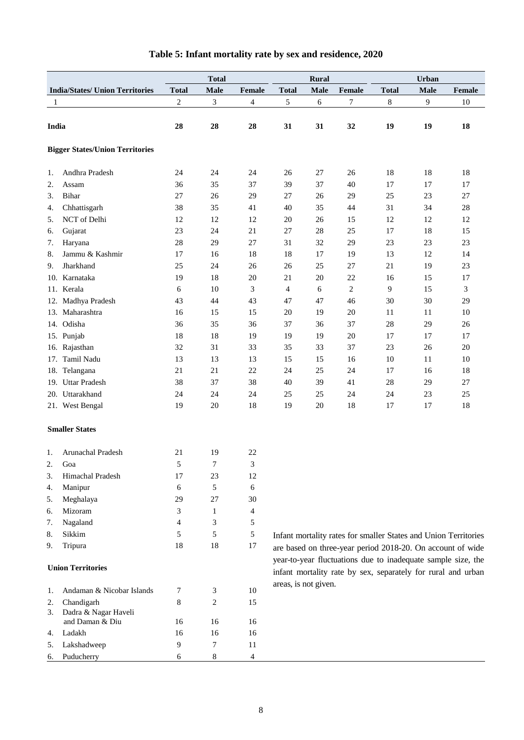|       |                                        |              | <b>Total</b>                |                |                      | <b>Rural</b> |                | Urban        |                |                                                                 |
|-------|----------------------------------------|--------------|-----------------------------|----------------|----------------------|--------------|----------------|--------------|----------------|-----------------------------------------------------------------|
|       | <b>India/States/ Union Territories</b> | <b>Total</b> | Male                        | <b>Female</b>  | <b>Total</b>         | Male         | Female         | <b>Total</b> | Male           | Female                                                          |
| 1     |                                        | $\sqrt{2}$   | $\ensuremath{\mathfrak{Z}}$ | $\overline{4}$ | 5                    | 6            | 7              | $8\,$        | $\overline{9}$ | 10                                                              |
|       |                                        |              |                             |                |                      |              |                |              |                |                                                                 |
| India |                                        | 28           | 28                          | 28             | 31                   | 31           | 32             | 19           | 19             | 18                                                              |
|       |                                        |              |                             |                |                      |              |                |              |                |                                                                 |
|       | <b>Bigger States/Union Territories</b> |              |                             |                |                      |              |                |              |                |                                                                 |
| 1.    | Andhra Pradesh                         | 24           | 24                          | 24             | 26                   | 27           | 26             | 18           | 18             | 18                                                              |
| 2.    | Assam                                  | 36           | 35                          | 37             | 39                   | 37           | 40             | 17           | 17             | 17                                                              |
| 3.    | Bihar                                  | 27           | 26                          | 29             | 27                   | 26           | 29             | 25           | 23             | 27                                                              |
| 4.    | Chhattisgarh                           | 38           | 35                          | 41             | 40                   | 35           | 44             | 31           | 34             | $28\,$                                                          |
| 5.    | NCT of Delhi                           | 12           | 12                          | 12             | 20                   | 26           | 15             | 12           | 12             | 12                                                              |
| 6.    | Gujarat                                | 23           | 24                          | 21             | 27                   | 28           | 25             | 17           | 18             | 15                                                              |
| 7.    | Haryana                                | 28           | 29                          | 27             | 31                   | 32           | 29             | 23           | $23\,$         | $23\,$                                                          |
| 8.    | Jammu & Kashmir                        | 17           | 16                          | 18             | 18                   | 17           | 19             | 13           | 12             | 14                                                              |
| 9.    | Jharkhand                              | 25           | 24                          | 26             | 26                   | 25           | 27             | 21           | 19             | 23                                                              |
| 10.   | Karnataka                              | 19           | 18                          | 20             | 21                   | 20           | 22             | 16           | 15             | 17                                                              |
|       | 11. Kerala                             | 6            | 10                          | 3              | $\overline{4}$       | 6            | $\overline{c}$ | 9            | 15             | $\mathfrak{Z}$                                                  |
|       | 12. Madhya Pradesh                     | 43           | 44                          | 43             | 47                   | 47           | 46             | 30           | 30             | 29                                                              |
|       | 13. Maharashtra                        | 16           | 15                          | 15             | 20                   | 19           | 20             | 11           | 11             | 10                                                              |
|       | 14. Odisha                             | 36           | 35                          | 36             | 37                   | 36           | 37             | 28           | 29             | $26\,$                                                          |
|       | 15. Punjab                             | 18           | 18                          | 19             | 19                   | 19           | 20             | 17           | 17             | 17                                                              |
|       | 16. Rajasthan                          | 32           | 31                          | 33             | 35                   | 33           | 37             | 23           | 26             | 20                                                              |
|       | 17. Tamil Nadu                         | 13           | 13                          | 13             | 15                   | 15           | 16             | 10           | 11             | 10                                                              |
|       | 18. Telangana                          | 21           | 21                          | 22             | 24                   | 25           | 24             | 17           | 16             | 18                                                              |
|       | 19. Uttar Pradesh                      | 38           | 37                          | 38             | 40                   | 39           | 41             | 28           | 29             | 27                                                              |
|       | 20. Uttarakhand                        | 24           | 24                          | 24             | 25                   | 25           | 24             | 24           | $23\,$         | 25                                                              |
|       | 21. West Bengal                        | 19           | 20                          | 18             | 19                   | $20\,$       | 18             | $17\,$       | 17             | 18                                                              |
|       |                                        |              |                             |                |                      |              |                |              |                |                                                                 |
|       | <b>Smaller States</b>                  |              |                             |                |                      |              |                |              |                |                                                                 |
| 1.    | Arunachal Pradesh                      | 21           | 19                          | 22             |                      |              |                |              |                |                                                                 |
| 2.    | Goa                                    | 5            | 7                           | 3              |                      |              |                |              |                |                                                                 |
| 3.    | Himachal Pradesh                       | 17           | 23                          | 12             |                      |              |                |              |                |                                                                 |
| 4.    | Manipur                                | 6            | 5                           | 6              |                      |              |                |              |                |                                                                 |
| 5.    | Meghalaya                              | 29           | 27                          | 30             |                      |              |                |              |                |                                                                 |
| 6.    | Mizoram                                | 3            | 1                           | $\overline{4}$ |                      |              |                |              |                |                                                                 |
| 7.    | Nagaland                               | 4            | 3                           | 5              |                      |              |                |              |                |                                                                 |
| 8.    | Sikkim                                 | 5            | 5                           | $\sqrt{5}$     |                      |              |                |              |                | Infant mortality rates for smaller States and Union Territories |
| 9.    | Tripura                                | 18           | 18                          | 17             |                      |              |                |              |                | are based on three-year period 2018-20. On account of wide      |
|       |                                        |              |                             |                |                      |              |                |              |                | year-to-year fluctuations due to inadequate sample size, the    |
|       | <b>Union Territories</b>               |              |                             |                |                      |              |                |              |                | infant mortality rate by sex, separately for rural and urban    |
|       |                                        |              |                             |                | areas, is not given. |              |                |              |                |                                                                 |
| 1.    | Andaman & Nicobar Islands              | 7            | 3                           | 10             |                      |              |                |              |                |                                                                 |
| 2.    | Chandigarh                             | 8            | 2                           | 15             |                      |              |                |              |                |                                                                 |
| 3.    | Dadra & Nagar Haveli                   |              |                             |                |                      |              |                |              |                |                                                                 |
|       | and Daman & Diu                        | 16           | 16                          | 16             |                      |              |                |              |                |                                                                 |
| 4.    | Ladakh                                 | 16           | 16                          | 16             |                      |              |                |              |                |                                                                 |
| 5.    | Lakshadweep                            | 9            | 7                           | 11             |                      |              |                |              |                |                                                                 |
| 6.    | Puducherry                             | 6            | 8                           | $\overline{4}$ |                      |              |                |              |                |                                                                 |

## **Table 5: Infant mortality rate by sex and residence, 2020**